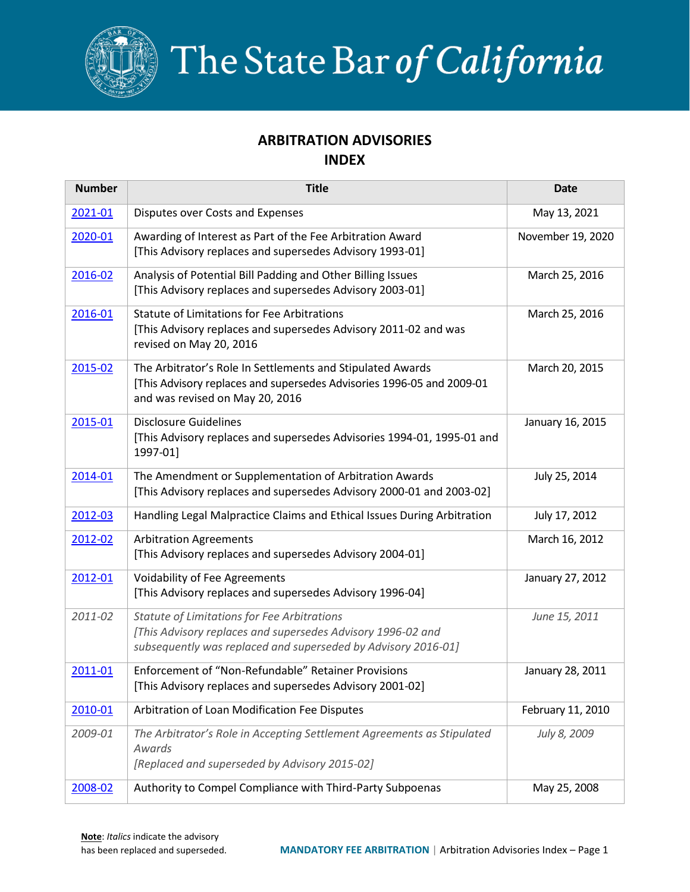

The State Bar of California

## **ARBITRATION ADVISORIES INDEX**

| <b>Number</b> | <b>Title</b>                                                                                                                                                                | <b>Date</b>       |
|---------------|-----------------------------------------------------------------------------------------------------------------------------------------------------------------------------|-------------------|
| 2021-01       | Disputes over Costs and Expenses                                                                                                                                            | May 13, 2021      |
| 2020-01       | Awarding of Interest as Part of the Fee Arbitration Award<br>[This Advisory replaces and supersedes Advisory 1993-01]                                                       | November 19, 2020 |
| 2016-02       | Analysis of Potential Bill Padding and Other Billing Issues<br>[This Advisory replaces and supersedes Advisory 2003-01]                                                     | March 25, 2016    |
| 2016-01       | <b>Statute of Limitations for Fee Arbitrations</b><br>[This Advisory replaces and supersedes Advisory 2011-02 and was<br>revised on May 20, 2016                            | March 25, 2016    |
| 2015-02       | The Arbitrator's Role In Settlements and Stipulated Awards<br>[This Advisory replaces and supersedes Advisories 1996-05 and 2009-01<br>and was revised on May 20, 2016      | March 20, 2015    |
| 2015-01       | <b>Disclosure Guidelines</b><br>[This Advisory replaces and supersedes Advisories 1994-01, 1995-01 and<br>1997-01]                                                          | January 16, 2015  |
| 2014-01       | The Amendment or Supplementation of Arbitration Awards<br>[This Advisory replaces and supersedes Advisory 2000-01 and 2003-02]                                              | July 25, 2014     |
| 2012-03       | Handling Legal Malpractice Claims and Ethical Issues During Arbitration                                                                                                     | July 17, 2012     |
| 2012-02       | <b>Arbitration Agreements</b><br>[This Advisory replaces and supersedes Advisory 2004-01]                                                                                   | March 16, 2012    |
| 2012-01       | Voidability of Fee Agreements<br>[This Advisory replaces and supersedes Advisory 1996-04]                                                                                   | January 27, 2012  |
| 2011-02       | Statute of Limitations for Fee Arbitrations<br>[This Advisory replaces and supersedes Advisory 1996-02 and<br>subsequently was replaced and superseded by Advisory 2016-01] | June 15, 2011     |
| 2011-01       | Enforcement of "Non-Refundable" Retainer Provisions<br>[This Advisory replaces and supersedes Advisory 2001-02]                                                             | January 28, 2011  |
| 2010-01       | Arbitration of Loan Modification Fee Disputes                                                                                                                               | February 11, 2010 |
| 2009-01       | The Arbitrator's Role in Accepting Settlement Agreements as Stipulated<br>Awards<br>[Replaced and superseded by Advisory 2015-02]                                           | July 8, 2009      |
| 2008-02       | Authority to Compel Compliance with Third-Party Subpoenas                                                                                                                   | May 25, 2008      |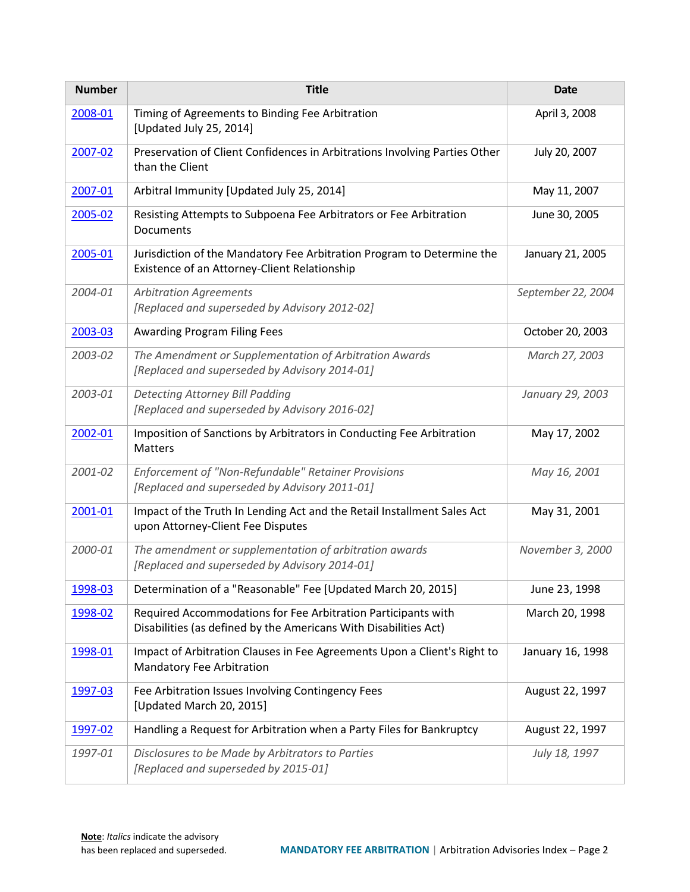| <b>Number</b> | <b>Title</b>                                                                                                                      | <b>Date</b>        |
|---------------|-----------------------------------------------------------------------------------------------------------------------------------|--------------------|
| 2008-01       | Timing of Agreements to Binding Fee Arbitration<br>[Updated July 25, 2014]                                                        | April 3, 2008      |
| 2007-02       | Preservation of Client Confidences in Arbitrations Involving Parties Other<br>than the Client                                     | July 20, 2007      |
| 2007-01       | Arbitral Immunity [Updated July 25, 2014]                                                                                         | May 11, 2007       |
| 2005-02       | Resisting Attempts to Subpoena Fee Arbitrators or Fee Arbitration<br><b>Documents</b>                                             | June 30, 2005      |
| 2005-01       | Jurisdiction of the Mandatory Fee Arbitration Program to Determine the<br>Existence of an Attorney-Client Relationship            | January 21, 2005   |
| 2004-01       | <b>Arbitration Agreements</b><br>[Replaced and superseded by Advisory 2012-02]                                                    | September 22, 2004 |
| 2003-03       | <b>Awarding Program Filing Fees</b>                                                                                               | October 20, 2003   |
| 2003-02       | The Amendment or Supplementation of Arbitration Awards<br>[Replaced and superseded by Advisory 2014-01]                           | March 27, 2003     |
| 2003-01       | <b>Detecting Attorney Bill Padding</b><br>[Replaced and superseded by Advisory 2016-02]                                           | January 29, 2003   |
| 2002-01       | Imposition of Sanctions by Arbitrators in Conducting Fee Arbitration<br><b>Matters</b>                                            | May 17, 2002       |
| 2001-02       | Enforcement of "Non-Refundable" Retainer Provisions<br>[Replaced and superseded by Advisory 2011-01]                              | May 16, 2001       |
| 2001-01       | Impact of the Truth In Lending Act and the Retail Installment Sales Act<br>upon Attorney-Client Fee Disputes                      | May 31, 2001       |
| 2000-01       | The amendment or supplementation of arbitration awards<br>[Replaced and superseded by Advisory 2014-01]                           | November 3, 2000   |
| 1998-03       | Determination of a "Reasonable" Fee [Updated March 20, 2015]                                                                      | June 23, 1998      |
| 1998-02       | Required Accommodations for Fee Arbitration Participants with<br>Disabilities (as defined by the Americans With Disabilities Act) | March 20, 1998     |
| 1998-01       | Impact of Arbitration Clauses in Fee Agreements Upon a Client's Right to<br>Mandatory Fee Arbitration                             | January 16, 1998   |
| 1997-03       | Fee Arbitration Issues Involving Contingency Fees<br>[Updated March 20, 2015]                                                     | August 22, 1997    |
| 1997-02       | Handling a Request for Arbitration when a Party Files for Bankruptcy                                                              | August 22, 1997    |
| 1997-01       | Disclosures to be Made by Arbitrators to Parties<br>[Replaced and superseded by 2015-01]                                          | July 18, 1997      |